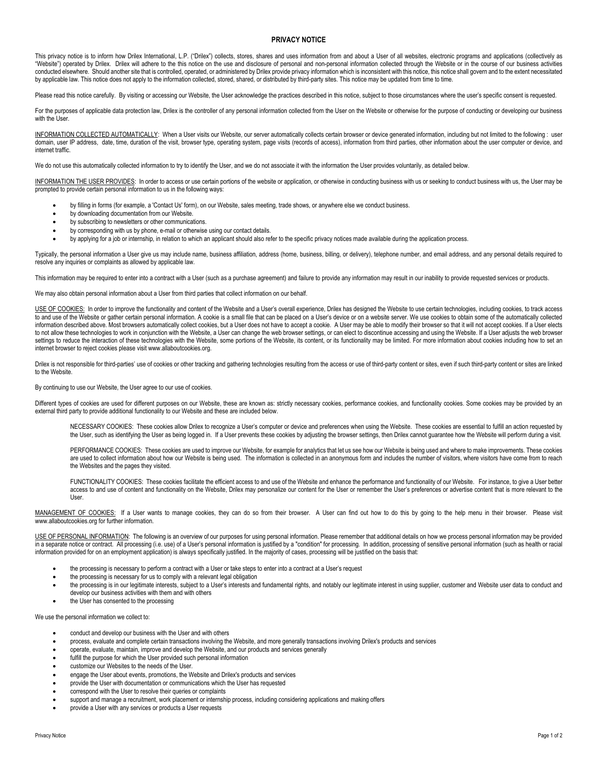## **PRIVACY NOTICE**

This privacy notice is to inform how Drilex International, L.P. ("Drilex") collects, stores, shares and uses information from and about a User of all websites, electronic programs and applications (collectively as "Website") operated by Drilex. Drilex will adhere to the this notice on the use and disclosure of personal and non-personal information collected through the Website or in the course of our business activities conducted elsewhere. Should another site that is controlled, operated, or administered by Drilex provide privacy information which is inconsistent with this notice, this notice shall govern and to the extent necessitated by applicable law. This notice does not apply to the information collected, stored, shared, or distributed by third-party sites. This notice may be updated from time to time.

Please read this notice carefully. By visiting or accessing our Website, the User acknowledge the practices described in this notice, subject to those circumstances where the user's specific consent is requested.

For the purposes of applicable data protection law, Drilex is the controller of any personal information collected from the User on the Website or otherwise for the purpose of conducting or developing our business with the User.

INFORMATION COLLECTED AUTOMATICALLY: When a User visits our Website, our server automatically collects certain browser or device generated information, including but not limited to the following : user domain, user IP address, date, time, duration of the visit, browser type, operating system, page visits (records of access), information from third parties, other information about the user computer or device, and internet traffic.

We do not use this automatically collected information to try to identify the User, and we do not associate it with the information the User provides voluntarily, as detailed below.

INFORMATION THE USER PROVIDES: In order to access or use certain portions of the website or application, or otherwise in conducting business with us or seeking to conduct business with us, the User may be prompted to provide certain personal information to us in the following ways:

- by filling in forms (for example, a 'Contact Us' form), on our Website, sales meeting, trade shows, or anywhere else we conduct business.
- by downloading documentation from our Website.
- by subscribing to newsletters or other communications.
- by corresponding with us by phone, e-mail or otherwise using our contact details.

• by applying for a job or internship, in relation to which an applicant should also refer to the specific privacy notices made available during the application process.

Typically, the personal information a User give us may include name, business affiliation, address (home, business, billing, or delivery), telephone number, and email address, and any personal details required to resolve any inquiries or complaints as allowed by applicable law.

This information may be required to enter into a contract with a User (such as a purchase agreement) and failure to provide any information may result in our inability to provide requested services or products.

We may also obtain personal information about a User from third parties that collect information on our behalf.

USE OF COOKIES: In order to improve the functionality and content of the Website and a User's overall experience, Drilex has designed the Website to use certain technologies, including cookies, to track access to and use of the Website or gather certain personal information. A cookie is a small file that can be placed on a User's device or on a website server. We use cookies to obtain some of the automatically collected information described above. Most browsers automatically collect cookies, but a User does not have to accept a cookie. A User may be able to modify their browser so that it will not accept cookies. If a User elects to not allow these technologies to work in conjunction with the Website, a User can change the web browser settings, or can elect to discontinue accessing and using the Website. If a User adjusts the web browser settings to reduce the interaction of these technologies with the Website, some portions of the Website, its content, or its functionality may be limited. For more information about cookies including how to set an internet browser to reject cookies please visit www.allaboutcookies.org.

Drilex is not responsible for third-parties' use of cookies or other tracking and gathering technologies resulting from the access or use of third-party content or sites, even if such third-party content or sites are linke to the Website.

## By continuing to use our Website, the User agree to our use of cookies.

Different types of cookies are used for different purposes on our Website, these are known as: strictly necessary cookies, performance cookies, and functionality cookies. Some cookies may be provided by an external third party to provide additional functionality to our Website and these are included below.

NECESSARY COOKIES: These cookies allow Drilex to recognize a User's computer or device and preferences when using the Website. These cookies are essential to fulfill an action requested by the User, such as identifying the User as being logged in. If a User prevents these cookies by adjusting the browser settings, then Drilex cannot guarantee how the Website will perform during a visit.

PERFORMANCE COOKIES: These cookies are used to improve our Website, for example for analytics that let us see how our Website is being used and where to make improvements. These cookies are used to collect information about how our Website is being used. The information is collected in an anonymous form and includes the number of visitors, where visitors have come from to reach the Websites and the pages they visited.

FUNCTIONALITY COOKIES: These cookies facilitate the efficient access to and use of the Website and enhance the performance and functionality of our Website. For instance, to give a User better access to and use of content and functionality on the Website, Drilex may personalize our content for the User or remember the User's preferences or advertise content that is more relevant to the User.

MANAGEMENT OF COOKIES: If a User wants to manage cookies, they can do so from their browser. A User can find out how to do this by going to the help menu in their browser. Please visit www.allaboutcookies.org for further information.

USE OF PERSONAL INFORMATION: The following is an overview of our purposes for using personal information. Please remember that additional details on how we process personal information may be provided in a separate notice or contract. All processing (i.e. use) of a User's personal information is justified by a "condition" for processing. In addition, processing of sensitive personal information (such as health or racial information provided for on an employment application) is always specifically justified. In the majority of cases, processing will be justified on the basis that:

- the processing is necessary to perform a contract with a User or take steps to enter into a contract at a User's request
- the processing is necessary for us to comply with a relevant legal obligation
- the processing is in our legitimate interests, subject to a User's interests and fundamental rights, and notably our legitimate interest in using supplier, customer and Website user data to conduct and develop our business activities with them and with others
- the User has consented to the processing

We use the personal information we collect to:

- conduct and develop our business with the User and with others
- process, evaluate and complete certain transactions involving the Website, and more generally transactions involving Drilex's products and services
- operate, evaluate, maintain, improve and develop the Website, and our products and services generally
- fulfill the purpose for which the User provided such personal information
- customize our Websites to the needs of the User.
- engage the User about events, promotions, the Website and Drilex's products and services
- provide the User with documentation or communications which the User has requested
- correspond with the User to resolve their queries or complaints
- support and manage a recruitment, work placement or internship process, including considering applications and making offers
- provide a User with any services or products a User requests